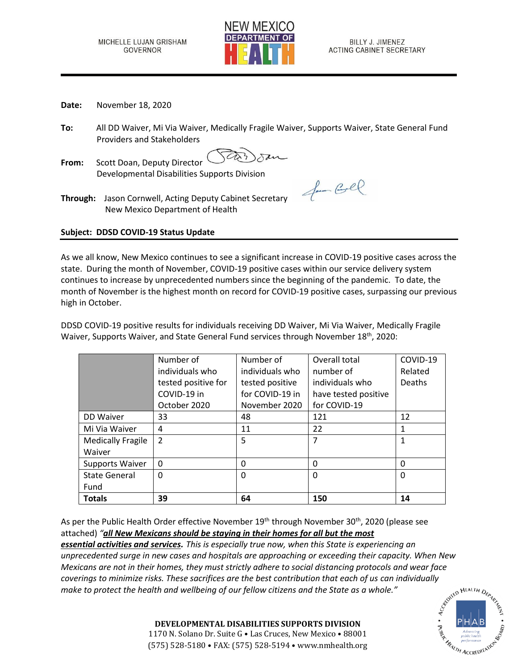

- **Date:** November 18, 2020
- **To:** All DD Waiver, Mi Via Waiver, Medically Fragile Waiver, Supports Waiver, State General Fund Providers and Stakeholders
- **From:** Scott Doan, Deputy Director Developmental Disabilities Supports Division

Jam Coll

**Through:** Jason Cornwell, Acting Deputy Cabinet Secretary New Mexico Department of Health

## **Subject: DDSD COVID-19 Status Update**

As we all know, New Mexico continues to see a significant increase in COVID-19 positive cases across the state. During the month of November, COVID-19 positive cases within our service delivery system continues to increase by unprecedented numbers since the beginning of the pandemic. To date, the month of November is the highest month on record for COVID-19 positive cases, surpassing our previous high in October.

DDSD COVID-19 positive results for individuals receiving DD Waiver, Mi Via Waiver, Medically Fragile Waiver, Supports Waiver, and State General Fund services through November 18<sup>th</sup>, 2020:

|                          | Number of           | Number of       | Overall total        | COVID-19 |
|--------------------------|---------------------|-----------------|----------------------|----------|
|                          | individuals who     | individuals who | number of            | Related  |
|                          | tested positive for | tested positive | individuals who      | Deaths   |
|                          | COVID-19 in         | for COVID-19 in | have tested positive |          |
|                          | October 2020        | November 2020   | for COVID-19         |          |
| DD Waiver                | 33                  | 48              | 121                  | 12       |
| Mi Via Waiver            | 4                   | 11              | 22                   | 1        |
| <b>Medically Fragile</b> | $\mathcal{P}$       | 5               | 7                    | 1        |
| Waiver                   |                     |                 |                      |          |
| Supports Waiver          | $\Omega$            | $\Omega$        | 0                    | $\Omega$ |
| <b>State General</b>     | $\mathbf 0$         | 0               | 0                    | $\Omega$ |
| Fund                     |                     |                 |                      |          |
| <b>Totals</b>            | 39                  | 64              | 150                  | 14       |

As per the Public Health Order effective November 19<sup>th</sup> through November 30<sup>th</sup>, 2020 (please see attached) *"all New Mexicans should be staying in their homes for all but the most*

*essential activities and services. This is especially true now, when this State is experiencing an unprecedented surge in new cases and hospitals are approaching or exceeding their capacity. When New Mexicans are not in their homes, they must strictly adhere to social distancing protocols and wear face coverings to minimize risks. These sacrifices are the best contribution that each of us can individually*<br>make to protect the health and wellbeing of our fellow citizens and the State as a whole."<br>expansion the state as a *make to protect the health and wellbeing of our fellow citizens and the State as a whole."*



**DEVELOPMENTAL DISABILITIES SUPPORTS DIVISION** 1170 N. Solano Dr. Suite G • Las Cruces, New Mexico • 88001 (575) 528-5180 • FAX: (575) 528-5194 • www.nmhealth.org